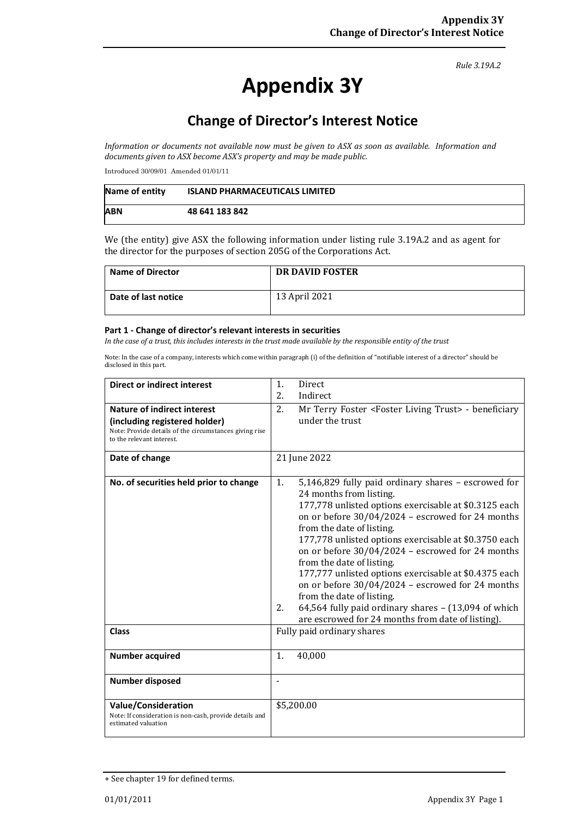*Rule 3.19A.2*

# **Appendix 3Y**

# **Change of Director's Interest Notice**

*Information or documents not available now must be given to ASX as soon as available. Information and documents given to ASX become ASX's property and may be made public.*

Introduced 30/09/01 Amended 01/01/11

| Name of entity | <b>ISLAND PHARMACEUTICALS LIMITED</b> |
|----------------|---------------------------------------|
| <b>ABN</b>     | 48 641 183 842                        |

We (the entity) give ASX the following information under listing rule 3.19A.2 and as agent for the director for the purposes of section 205G of the Corporations Act.

| <b>Name of Director</b> | DR DAVID FOSTER |
|-------------------------|-----------------|
| Date of last notice     | 13 April 2021   |

#### **Part 1 - Change of director's relevant interests in securities**

*In the case of a trust, this includes interests in the trust made available by the responsible entity of the trust*

Note: In the case of a company, interests which come within paragraph (i) of the definition of "notifiable interest of a director" should be disclosed in this part.

| <b>Direct or indirect interest</b>                                                                                   | 1.<br>Direct<br>2.                                                                                                                                                                                                                                                                                                                                                                                                                                                                                                                                                                   |  |  |
|----------------------------------------------------------------------------------------------------------------------|--------------------------------------------------------------------------------------------------------------------------------------------------------------------------------------------------------------------------------------------------------------------------------------------------------------------------------------------------------------------------------------------------------------------------------------------------------------------------------------------------------------------------------------------------------------------------------------|--|--|
|                                                                                                                      | Indirect                                                                                                                                                                                                                                                                                                                                                                                                                                                                                                                                                                             |  |  |
| Nature of indirect interest                                                                                          | 2.<br>Mr Terry Foster <foster living="" trust=""> - beneficiary</foster>                                                                                                                                                                                                                                                                                                                                                                                                                                                                                                             |  |  |
| (including registered holder)<br>Note: Provide details of the circumstances giving rise<br>to the relevant interest. | under the trust                                                                                                                                                                                                                                                                                                                                                                                                                                                                                                                                                                      |  |  |
| Date of change                                                                                                       | 21 June 2022                                                                                                                                                                                                                                                                                                                                                                                                                                                                                                                                                                         |  |  |
| No. of securities held prior to change                                                                               | 5,146,829 fully paid ordinary shares - escrowed for<br>1.<br>24 months from listing.<br>177,778 unlisted options exercisable at \$0.3125 each<br>on or before $30/04/2024$ - escrowed for 24 months<br>from the date of listing.<br>177,778 unlisted options exercisable at \$0.3750 each<br>on or before $30/04/2024$ - escrowed for 24 months<br>from the date of listing.<br>177,777 unlisted options exercisable at \$0.4375 each<br>on or before 30/04/2024 - escrowed for 24 months<br>from the date of listing.<br>64,564 fully paid ordinary shares - (13,094 of which<br>2. |  |  |
|                                                                                                                      | are escrowed for 24 months from date of listing).                                                                                                                                                                                                                                                                                                                                                                                                                                                                                                                                    |  |  |
| <b>Class</b>                                                                                                         | Fully paid ordinary shares                                                                                                                                                                                                                                                                                                                                                                                                                                                                                                                                                           |  |  |
| <b>Number acquired</b>                                                                                               | 1.<br>40,000                                                                                                                                                                                                                                                                                                                                                                                                                                                                                                                                                                         |  |  |
| <b>Number disposed</b>                                                                                               | ٠                                                                                                                                                                                                                                                                                                                                                                                                                                                                                                                                                                                    |  |  |
| <b>Value/Consideration</b><br>Note: If consideration is non-cash, provide details and<br>estimated valuation         | \$5,200.00                                                                                                                                                                                                                                                                                                                                                                                                                                                                                                                                                                           |  |  |

<sup>+</sup> See chapter 19 for defined terms.